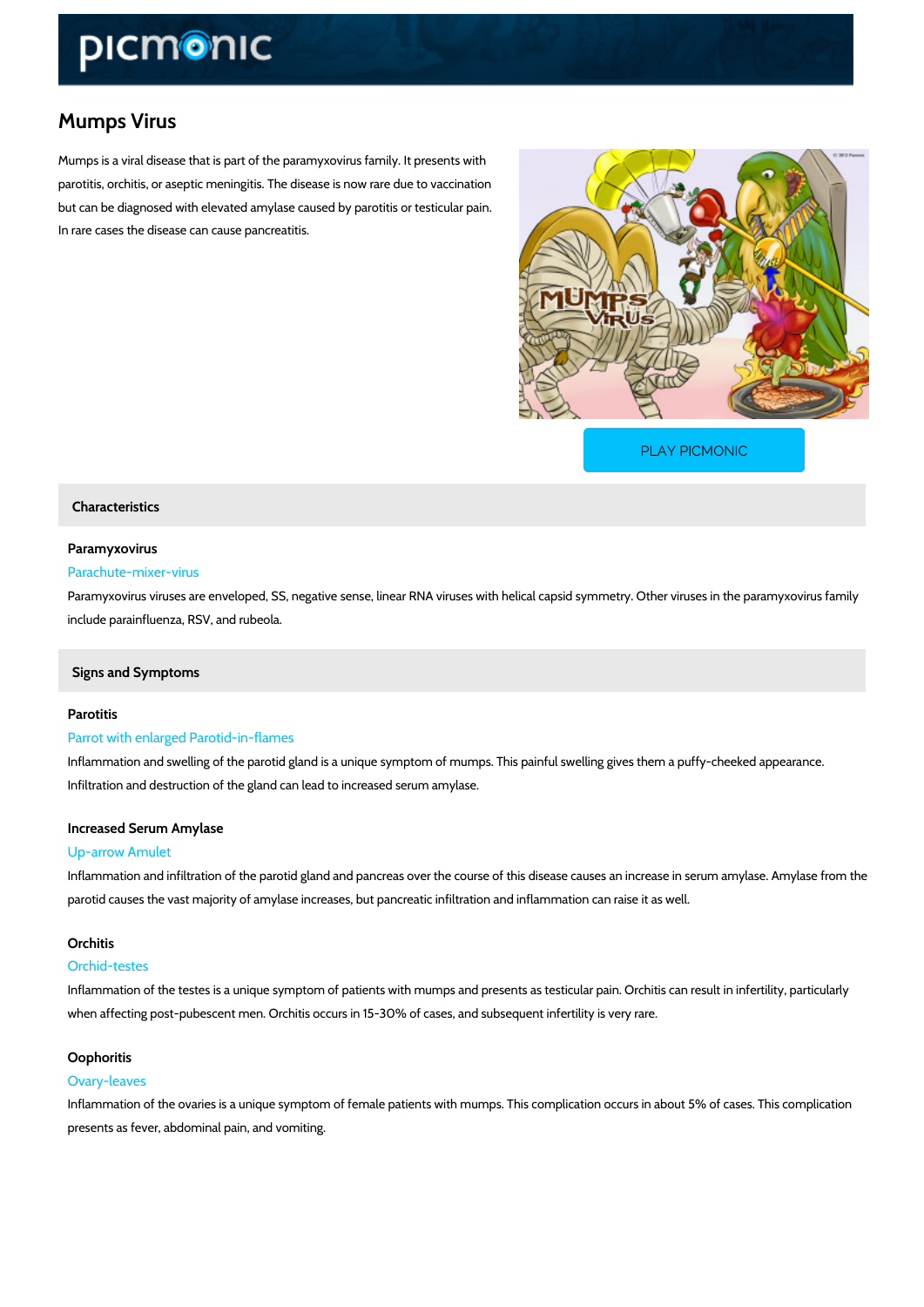# Mumps Virus

Mumps is a viral disease that is part of the paramyxovirus family. It presents with parotitis, orchitis, or aseptic meningitis. The disease is now rare due to vaccination but can be diagnosed with elevated amylase caused by parotitis or testicular pain. In rare cases the disease can cause pancreatitis.

[PLAY PICMONIC](https://www.picmonic.com/learn/mumps_181?utm_source=downloadable_content&utm_medium=distributedcontent&utm_campaign=pathways_pdf&utm_content=Mumps Virus&utm_ad_group=leads&utm_market=all)

## Characteristics

# Paramyxovirus

### Parachute-mixer-virus

Paramyxovirus viruses are enveloped, SS, negative sense, linear RNA viruses with helical cap include parainfluenza, RSV, and rubeola.

# Signs and Symptoms

## Parotitis

# Parrot with enlarged Parotid-in-flames

Inflammation and swelling of the parotid gland is a unique symptom of mumps. This painful sw Infiltration and destruction of the gland can lead to increased serum amylase.

#### Increased Serum Amylase

#### Up-arrow Amulet

Inflammation and infiltration of the parotid gland and pancreas over the course of this diseas parotid causes the vast majority of amylase increases, but pancreatic infiltration and inflamm

## Orchitis

#### Orchid-testes

Inflammation of the testes is a unique symptom of patients with mumps and presents as testic when affecting post-pubescent men. Orchitis occurs in 15-30% of cases, and subsequent infer

#### Oophoritis

### Ovary-leaves

Inflammation of the ovaries is a unique symptom of female patients with mumps. This complication of presents as fever, abdominal pain, and vomiting.